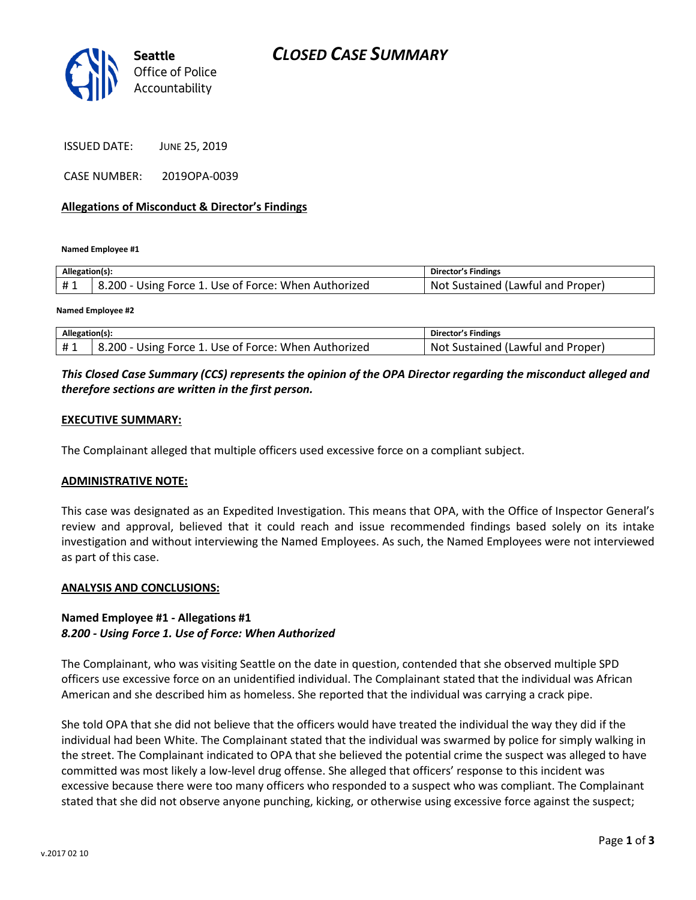

ISSUED DATE: JUNE 25, 2019

CASE NUMBER: 2019OPA-0039

### **Allegations of Misconduct & Director's Findings**

**Named Employee #1**

| Allegation(s): |                                                      | Director's Findings               |
|----------------|------------------------------------------------------|-----------------------------------|
| #1             | 8.200 - Using Force 1. Use of Force: When Authorized | Not Sustained (Lawful and Proper) |
|                |                                                      |                                   |

**Named Employee #2**

| Allegation(s): |                                                      | Director's Findings               |
|----------------|------------------------------------------------------|-----------------------------------|
| #1             | 8.200 - Using Force 1. Use of Force: When Authorized | Not Sustained (Lawful and Proper) |

## *This Closed Case Summary (CCS) represents the opinion of the OPA Director regarding the misconduct alleged and therefore sections are written in the first person.*

### **EXECUTIVE SUMMARY:**

The Complainant alleged that multiple officers used excessive force on a compliant subject.

### **ADMINISTRATIVE NOTE:**

This case was designated as an Expedited Investigation. This means that OPA, with the Office of Inspector General's review and approval, believed that it could reach and issue recommended findings based solely on its intake investigation and without interviewing the Named Employees. As such, the Named Employees were not interviewed as part of this case.

### **ANALYSIS AND CONCLUSIONS:**

## **Named Employee #1 - Allegations #1** *8.200 - Using Force 1. Use of Force: When Authorized*

The Complainant, who was visiting Seattle on the date in question, contended that she observed multiple SPD officers use excessive force on an unidentified individual. The Complainant stated that the individual was African American and she described him as homeless. She reported that the individual was carrying a crack pipe.

She told OPA that she did not believe that the officers would have treated the individual the way they did if the individual had been White. The Complainant stated that the individual was swarmed by police for simply walking in the street. The Complainant indicated to OPA that she believed the potential crime the suspect was alleged to have committed was most likely a low-level drug offense. She alleged that officers' response to this incident was excessive because there were too many officers who responded to a suspect who was compliant. The Complainant stated that she did not observe anyone punching, kicking, or otherwise using excessive force against the suspect;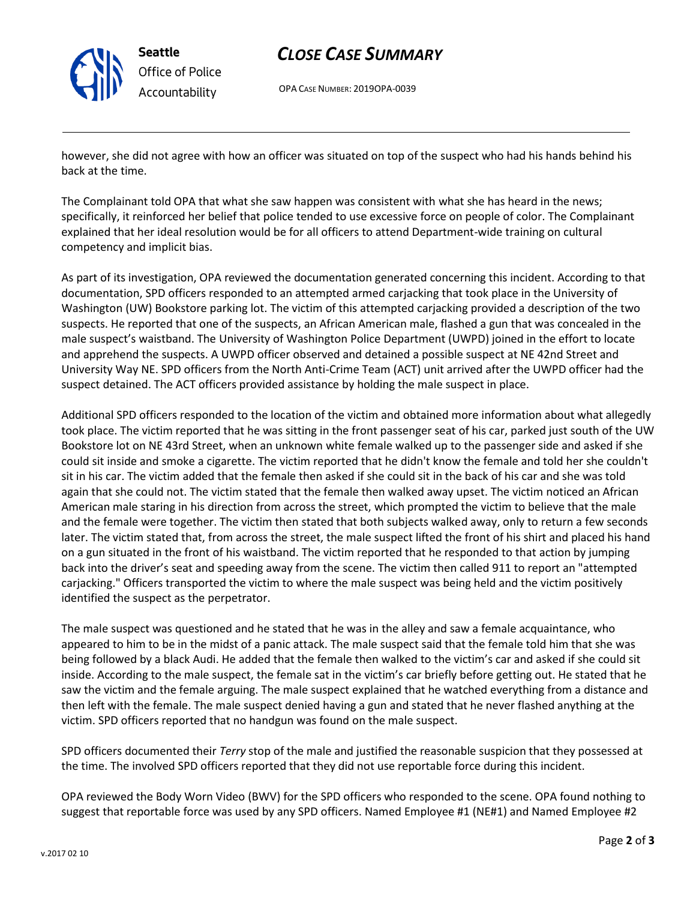

# *CLOSE CASE SUMMARY*

OPA CASE NUMBER: 2019OPA-0039

however, she did not agree with how an officer was situated on top of the suspect who had his hands behind his back at the time.

The Complainant told OPA that what she saw happen was consistent with what she has heard in the news; specifically, it reinforced her belief that police tended to use excessive force on people of color. The Complainant explained that her ideal resolution would be for all officers to attend Department-wide training on cultural competency and implicit bias.

As part of its investigation, OPA reviewed the documentation generated concerning this incident. According to that documentation, SPD officers responded to an attempted armed carjacking that took place in the University of Washington (UW) Bookstore parking lot. The victim of this attempted carjacking provided a description of the two suspects. He reported that one of the suspects, an African American male, flashed a gun that was concealed in the male suspect's waistband. The University of Washington Police Department (UWPD) joined in the effort to locate and apprehend the suspects. A UWPD officer observed and detained a possible suspect at NE 42nd Street and University Way NE. SPD officers from the North Anti-Crime Team (ACT) unit arrived after the UWPD officer had the suspect detained. The ACT officers provided assistance by holding the male suspect in place.

Additional SPD officers responded to the location of the victim and obtained more information about what allegedly took place. The victim reported that he was sitting in the front passenger seat of his car, parked just south of the UW Bookstore lot on NE 43rd Street, when an unknown white female walked up to the passenger side and asked if she could sit inside and smoke a cigarette. The victim reported that he didn't know the female and told her she couldn't sit in his car. The victim added that the female then asked if she could sit in the back of his car and she was told again that she could not. The victim stated that the female then walked away upset. The victim noticed an African American male staring in his direction from across the street, which prompted the victim to believe that the male and the female were together. The victim then stated that both subjects walked away, only to return a few seconds later. The victim stated that, from across the street, the male suspect lifted the front of his shirt and placed his hand on a gun situated in the front of his waistband. The victim reported that he responded to that action by jumping back into the driver's seat and speeding away from the scene. The victim then called 911 to report an "attempted carjacking." Officers transported the victim to where the male suspect was being held and the victim positively identified the suspect as the perpetrator.

The male suspect was questioned and he stated that he was in the alley and saw a female acquaintance, who appeared to him to be in the midst of a panic attack. The male suspect said that the female told him that she was being followed by a black Audi. He added that the female then walked to the victim's car and asked if she could sit inside. According to the male suspect, the female sat in the victim's car briefly before getting out. He stated that he saw the victim and the female arguing. The male suspect explained that he watched everything from a distance and then left with the female. The male suspect denied having a gun and stated that he never flashed anything at the victim. SPD officers reported that no handgun was found on the male suspect.

SPD officers documented their *Terry* stop of the male and justified the reasonable suspicion that they possessed at the time. The involved SPD officers reported that they did not use reportable force during this incident.

OPA reviewed the Body Worn Video (BWV) for the SPD officers who responded to the scene. OPA found nothing to suggest that reportable force was used by any SPD officers. Named Employee #1 (NE#1) and Named Employee #2